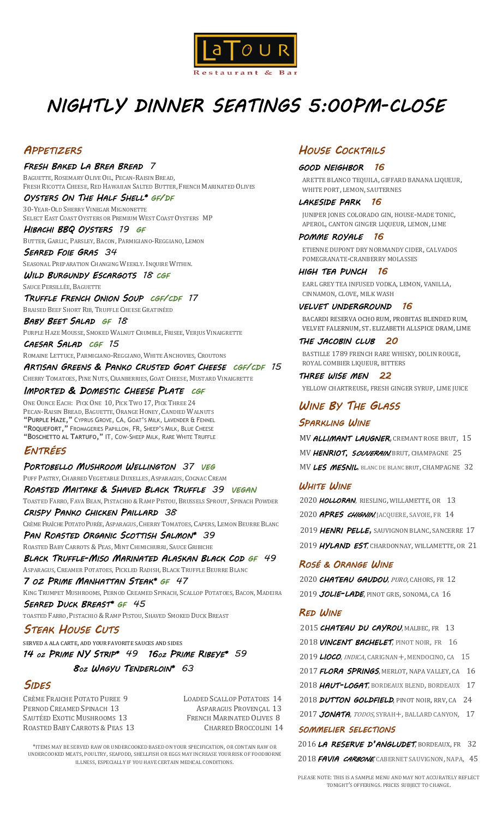

# *NIGHTLY DINNER SEATINGS 5:00PM-CLOSE*

#### *APPETIZERS*

*FRESH BAKED LA BREA BREAD 7* BAGUETTE, ROSEMARY OLIVE OIL, PECAN-RAISIN BREAD, FRESH RICOTTA CHEESE, RED HAWAIIAN SALTED BUTTER, FRENCH MARINATED OLIVES

*OYSTERS ON THE HALF SHELL\* GF/DF*  30-YEAR-OLD SHERRY VINEGAR MIGNONETTE SELECT EAST COAST OYSTERS OR PREMIUM WEST COAST OYSTERS MP

*HIBACHI BBQ OYSTERS 19 GF* 

BUTTER, GARLIC, PARSLEY, BACON, PARMIGIANO-REGGIANO, LEMON *SEARED FOIE GRAS 34*

SEASONAL PREPARATION CHANGING WEEKLY. INQUIRE WITHIN.

*WILD BURGUNDY ESCARGOTS 18 CGF*  SAUCE PERSILLÉE, BAGUETTE

*TRUFFLE FRENCH ONION SOUP CGF/CDF 17* BRAISED BEEF SHORT RIB, TRUFFLE CHEESE GRATINÉED

*BABY BEET SALAD GF 18*

PURPLE HAZE MOUSSE, SMOKED WALNUT CRUMBLE, FRISEE, VERJUS VINAIGRETTE *CAESAR SALAD CGF 15*

ROMAINE LETTUCE, PARMIGIANO-REGGIANO, WHITE ANCHOVIES, CROUTONS

*ARTISAN GREENS & PANKO CRUSTED GOAT CHEESE CGF/CDF 15* CHERRY TOMATOES, PINE NUTS, CRANBERRIES, GOAT CHEESE, MUSTARD VINAIGRETTE

#### *IMPORTED & DOMESTIC CHEESE PLATE CGF*

ONE OUNCE EACH: PICK ONE 10, PICK TWO 17, PICK THREE 24 PECAN-RAISIN BREAD, BAGUETTE, ORANGE HONEY, CANDIED WALNUTS **"PURPLE HAZE,"** CYPRUS GROVE, CA, GOAT'S MILK, LAVENDER & FENNEL **"ROQUEFORT,"** FROMAGERIES PAPILLON, FR, SHEEP'S MILK, BLUE CHEESE **"BOSCHETTO AL TARTUFO,"** IT, COW-SHEEP MILK, RARE WHITE TRUFFLE

#### *ENTRÉES*

*PORTOBELLO MUSHROOM WELLINGTON 37 VEG*  PUFF PASTRY, CHARRED VEGETABLE DUXELLES, ASPARAGUS, COGNAC CREAM *ROASTED MAITAKE & SHAVED BLACK TRUFFLE 39 VEGAN*  TOASTED FARRO, FAVA BEAN, PISTACHIO & RAMP PISTOU, BRUSSELS SPROUT, SPINACH POWDER *CRISPY PANKO CHICKEN PAILLARD 38*

CRÈME FRAÎCHE POTATO PURÉE, ASPARAGUS, CHERRY TOMATOES, CAPERS, LEMON BEURRE BLANC

*PAN ROASTED ORGANIC SCOTTISH SALMON\* 39* 

ROASTED BABY CARROTS & PEAS, MINT CHIMICHURRI, SAUCE GRIBICHE *BLACK TRUFFLE-MISO MARINATED ALASKAN BLACK COD GF 49*

ASPARAGUS, CREAMER POTATOES, PICKLED RADISH, BLACK TRUFFLE BEURRE BLANC

*7 OZ PRIME MANHATTAN STEAK\* GF 47*  KING TRUMPET MUSHROOMS, PERNOD CREAMED SPINACH, SCALLOP POTATOES, BACON, MADEIRA *SEARED DUCK BREAST\* GF 45* 

TOASTED FARRO, PISTACHIO & RAMP PISTOU, SHAVED SMOKED DUCK BREAST

#### *STEAK HOUSE CUTS*

SERVED A ALA CARTE, ADD YOUR FAVORITE SAUCES AND SIDES

*14 OZ PRIME NY STRIP\* 49 16OZ PRIME RIBEYE\* 59 8OZ WAGYU TENDERLOIN\* 63*

#### *SIDES*

CRÈME FRAICHE POTATO PUREE 9 LOADED SCALLOP POTATOES 14 PERNOD CREAMED SPINACH 13 ASPARAGUS PROVENÇAL 13 SAUTÉED EXOTIC MUSHROOMS 13 FRENCH MARINATED OLIVES 8 ROASTED BABY CARROTS & PEAS 13 CHARRED BROCCOLINI 14

\*ITEMS MAY BE SERVED RAW OR UNDERCOOKED BASED ON YOUR SPECIFICATION, OR CONTAIN RAW OR UNDERCOOKED MEATS, POULTRY, SEAFODD, SHELLFISH OR EGGS MAY INCREASE YOUR RISK OF FOODBORNE ILLNESS, ESPECIALLY IF YOU HAVE CERTAIN MEDICAL CONDITIONS.

#### *HOUSE COCKTAILS*

#### *GOOD NEIGHBOR 16*

 ARETTE BLANCO TEQUILA, GIFFARD BANANA LIQUEUR, WHITE PORT, LEMON, SAUTERNES

*LAKESIDE PARK 16* JUNIPER JONES COLORADO GIN, HOUSE-MADE TONIC, APEROL, CANTON GINGER LIQUEUR, LEMON, LIME

*POMME ROYALE 16* ETIENNE DUPONT DRY NORMANDY CIDER, CALVADOS POMEGRANATE-CRANBERRY MOLASSES

*HIGH TEA PUNCH 16* EARL GREY TEA INFUSED VODKA, LEMON, VANILLA, CINNAMON, CLOVE, MILK WASH

*VELVET UNDERGROUND 16* BACARDI RESERVA OCHO RUM, PROBITAS BLENDED RUM, VELVET FALERNUM, ST. ELIZABETH ALLSPICE DRAM, LIME

*THE JACOBIN CLUB 20* BASTILLE 1789 FRENCH RARE WHISKY, DOLIN ROUGE, ROYAL COMBIER LIQUEUR, BITTERS

*THREE WISE MEN 22* YELLOW CHARTREUSE, FRESH GINGER SYRUP, LIME JUICE

#### *WINE BY THE GLASS SPARKLING WINE*

MV *ALLIMANT LAUGNER*, CREMANT ROSE BRUT, 15 MV **HENRIOT, SOUVERAIN**, BRUT, CHAMPAGNE 25 MV *LES MESNIL*, BLANC DE BLANC BRUT, CHAMPAGNE 32

#### *WHITE WINE*

 *HOLLORAN*, RIESLING, WILLAMETTE, OR 13 *APRES CHIGNIN*, JACQUERE, SAVOIE, FR 14 2019 *HENRI PELLE,* SAUVIGNON BLANC, SANCERRE 17 *HYLAND EST*, CHARDONNAY, WILLAMETTE, OR 21

#### *ROSÉ & ORANGE WINE*

2020 *CHATEAU GAUDOU*, PURO, CAHORS, FR 12 2019 *JOLIE-LADE*, PINOT GRIS, SONOMA, CA 16

#### *RED WINE*

 *CHATEAU DU CAYROU*, MALBEC, FR 13 *VINCENT BACHELET*, PINOT NOIR, FR 16 *LIOCO*, INDICA, CARIGNAN+, MENDOCINO, CA 15 *FLORA SPRINGS*, MERLOT, NAPA VALLEY, CA 16 *HAUT-LOGAT*, BORDEAUX BLEND, BORDEAUX 17 *DUTTON GOLDFIELD*, PINOT NOIR, RRV, CA 24 *JONATA*, TODOS, SYRAH+, BALLARD CANYON, 17 *SOMMELIER SELECTIONS* 

2016 *LA RESERVE D'ANGLUDET*, BORDEAUX, FR 32 2018 *FAVIA CARBONE*, CABERNET SAUVIGNON, NAPA, 45